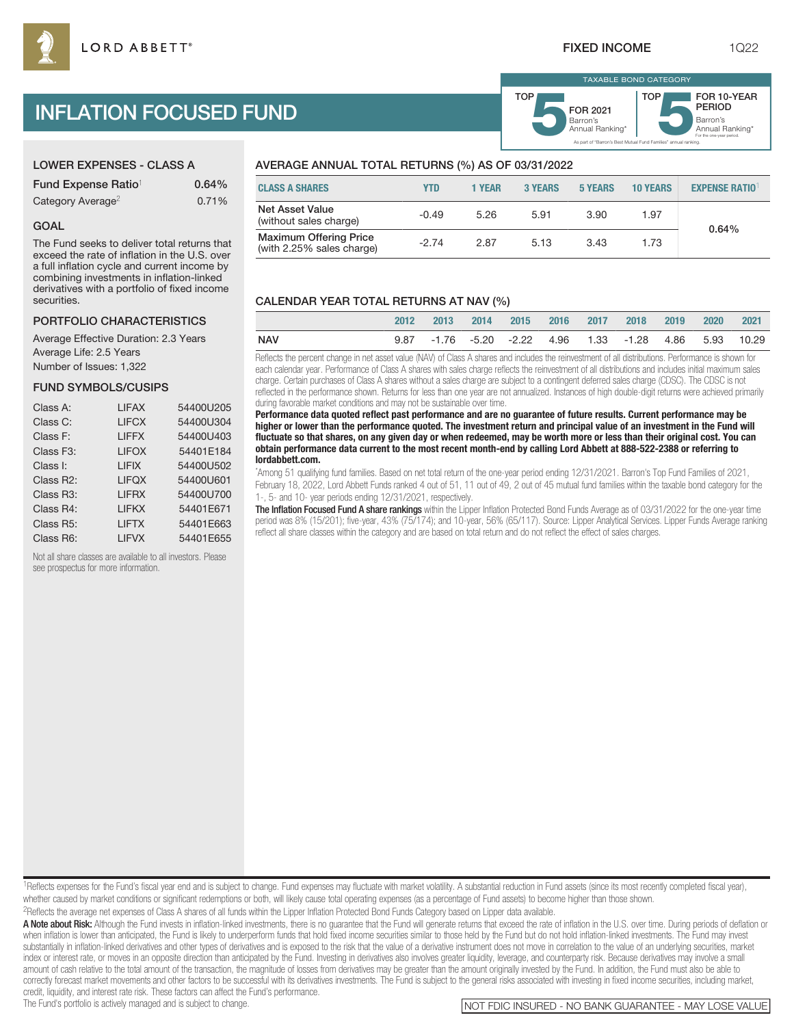# INFLATION FOCUSED FUND

| <b>LOWER EXPENSES - CLASS A</b> |  |
|---------------------------------|--|
|---------------------------------|--|

| Fund Expense Ratio <sup>1</sup> | 0.64% |
|---------------------------------|-------|
| Category Average <sup>2</sup>   | 0.71% |

### GOAL

The Fund seeks to deliver total returns that exceed the rate of inflation in the U.S. over a full inflation cycle and current income by combining investments in inflation-linked derivatives with a portfolio of fixed income **securities** 

## PORTFOLIO CHARACTERISTICS

Average Effective Duration: 2.3 Years Average Life: 2.5 Years Number of Issues: 1,322

## FUND SYMBOLS/CUSIPS

| Class A:               | <b>LIFAX</b> | 54400U205 |
|------------------------|--------------|-----------|
| Class C:               | <b>LIFCX</b> | 54400U304 |
| Class F:               | <b>LIFFX</b> | 54400U403 |
| Class F <sub>3</sub> : | <b>LIFOX</b> | 54401E184 |
| Class I:               | <b>LIFIX</b> | 54400U502 |
| Class R2:              | <b>LIFOX</b> | 54400U601 |
| Class R <sub>3</sub> : | <b>LIFRX</b> | 54400U700 |
| Class R4:              | <b>LIFKX</b> | 54401E671 |
| Class R5:              | <b>LIFTX</b> | 54401E663 |
| Class R6:              | <b>LIFVX</b> | 54401E655 |

Not all share classes are available to all investors. Please see prospectus for more information.

## AVERAGE ANNUAL TOTAL RETURNS (%) AS OF 03/31/2022

| <b>CLASS A SHARES</b>                                      | YTD     | 1 YEAR | 3 YEARS | 5 YEARS | <b>10 YEARS</b> | <b>EXPENSE RATIO</b> |
|------------------------------------------------------------|---------|--------|---------|---------|-----------------|----------------------|
| Net Asset Value<br>(without sales charge)                  | $-0.49$ | 5.26   | 5.91    | 3.90    | 1.97            | 0.64%                |
| <b>Maximum Offering Price</b><br>(with 2.25% sales charge) | $-2.74$ | 2.87   | 5.13    | 3.43    | 1.73            |                      |

## CALENDAR YEAR TOTAL RETURNS AT NAV (%)

|            | 2012 | 2013 | 2014 | 2015 2016 2017 |  | 2018 2019 2020                                         |  | 2021 |
|------------|------|------|------|----------------|--|--------------------------------------------------------|--|------|
| <b>NAV</b> |      |      |      |                |  | 9.87 -1.76 -5.20 -2.22 4.96 1.33 -1.28 4.86 5.93 10.29 |  |      |

Reflects the percent change in net asset value (NAV) of Class A shares and includes the reinvestment of all distributions. Performance is shown for each calendar year. Performance of Class A shares with sales charge reflects the reinvestment of all distributions and includes initial maximum sales charge. Certain purchases of Class A shares without a sales charge are subject to a contingent deferred sales charge (CDSC). The CDSC is not reflected in the performance shown. Returns for less than one year are not annualized. Instances of high double-digit returns were achieved primarily during favorable market conditions and may not be sustainable over time.

**Performance data quoted reflect past performance and are no guarantee of future results. Current performance may be higher or lower than the performance quoted. The investment return and principal value of an investment in the Fund will fluctuate so that shares, on any given day or when redeemed, may be worth more or less than their original cost. You can obtain performance data current to the most recent month-end by calling Lord Abbett at 888-522-2388 or referring to lordabbett.com.**

\* Among 51 qualifying fund families. Based on net total return of the one-year period ending 12/31/2021. Barron's Top Fund Families of 2021, February 18, 2022, Lord Abbett Funds ranked 4 out of 51, 11 out of 49, 2 out of 45 mutual fund families within the taxable bond category for the 1-, 5- and 10- year periods ending 12/31/2021, respectively.

The Inflation Focused Fund A share rankings within the Lipper Inflation Protected Bond Funds Average as of 03/31/2022 for the one-year time period was 8% (15/201); five-year, 43% (75/174); and 10-year, 56% (65/117). Source: Lipper Analytical Services. Lipper Funds Average ranking reflect all share classes within the category and are based on total return and do not reflect the effect of sales charges.

<sup>1</sup>Reflects expenses for the Fund's fiscal year end and is subject to change. Fund expenses may fluctuate with market volatility. A substantial reduction in Fund assets (since its most recently completed fiscal year), whether caused by market conditions or significant redemptions or both, will likely cause total operating expenses (as a percentage of Fund assets) to become higher than those shown. 2Reflects the average net expenses of Class A shares of all funds within the Lipper Inflation Protected Bond Funds Category based on Lipper data available.

A Note about Risk: Although the Fund invests in inflation-linked investments, there is no guarantee that the Fund will generate returns that exceed the rate of inflation in the U.S. over time. During periods of deflation o when inflation is lower than anticipated, the Fund is likely to underperform funds that hold fixed income securities similar to those held by the Fund but do not hold inflation-linked investments. The Fund may invest substantially in inflation-linked derivatives and other types of derivatives and is exposed to the risk that the value of a derivative instrument does not move in correlation to the value of an underlying securities, marke index or interest rate, or moves in an opposite direction than anticipated by the Fund. Investing in derivatives also involves greater liquidity, leverage, and counterparty risk. Because derivatives may involve a small amount of cash relative to the total amount of the transaction, the magnitude of losses from derivatives may be greater than the amount originally invested by the Fund. In addition, the Fund must also be able to correctly forecast market movements and other factors to be successful with its derivatives investments. The Fund is subject to the general risks associated with investing in fixed income securities, including market, credit, liquidity, and interest rate risk. These factors can affect the Fund's performance.